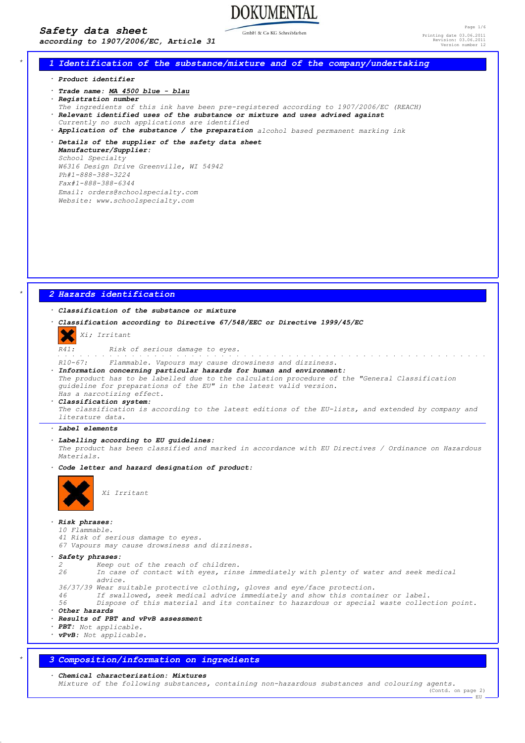### *Safety data sheet*

*according to 1907/2006/EC, Article 31*

GmbH & Co KG Schreibfarber

**DOKUMENTAL** 

Page 1/6 Printing date 03.06.2011 Revision: 03.06.2011 Version number 12

### *\* 1 Identification of the substance/mixture and of the company/undertaking*

*· Product identifier*

- *· Trade name: MA 4500 blue blau*
- *· Registration number*
- *The ingredients of this ink have been pre-registered according to 1907/2006/EC (REACH)*
- *· Relevant identified uses of the substance or mixture and uses advised against*
- *Currently no such applications are identified*
- *· Application of the substance / the preparation alcohol based permanent marking ink*
- *· Details of the supplier of the safety data sheet Manufacturer/Supplier: School Specialty W6316 Design Drive Greenville, WI 54942*
	- *Ph#1-888-388-3224 Fax#1-888-388-6344 Email: orders@schoolspecialty.com*
	- *Website: www.schoolspecialty.com*

### *\* 2 Hazards identification*

### *· Classification of the substance or mixture*

*· Classification according to Directive 67/548/EEC or Directive 1999/45/EC*

#### *Xi; Irritant*

*R41: Risk of serious damage to eyes.*

*R10-67: Flammable. Vapours may cause drowsiness and dizziness. · Information concerning particular hazards for human and environment: The product has to be labelled due to the calculation procedure of the "General Classification guideline for preparations of the EU" in the latest valid version. Has a narcotizing effect. · Classification system: The classification is according to the latest editions of the EU-lists, and extended by company and literature data. · Label elements · Labelling according to EU guidelines: The product has been classified and marked in accordance with EU Directives / Ordinance on Hazardous Materials. · Code letter and hazard designation of product: Xi Irritant · Risk phrases: 10 Flammable.*

- *41 Risk of serious damage to eyes.*
- *67 Vapours may cause drowsiness and dizziness.*

*· Safety phrases:*

- *2 Keep out of the reach of children.*
- *26 In case of contact with eyes, rinse immediately with plenty of water and seek medical advice.*
- *36/37/39 Wear suitable protective clothing, gloves and eye/face protection.*
- *46 If swallowed, seek medical advice immediately and show this container or label.*
- *56 Dispose of this material and its container to hazardous or special waste collection point.*
- *· Other hazards*
- *· Results of PBT and vPvB assessment*
- *· PBT: Not applicable.*
- *· vPvB: Not applicable.*

### *\* 3 Composition/information on ingredients*

*· Chemical characterization: Mixtures*

*Mixture of the following substances, containing non-hazardous substances and colouring agents.* (Contd. on page 2)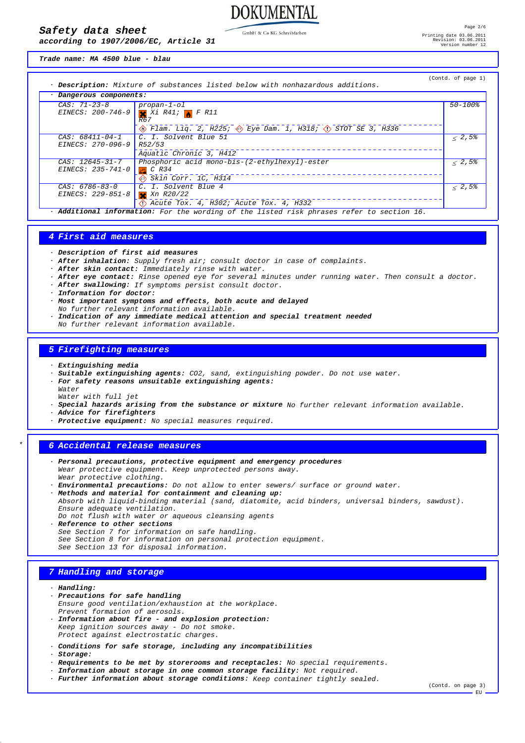# **DOKUMENTAL**

GmbH & Co KG Schreibfarben

*Trade name: MA 4500 blue - blau*

*according to 1907/2006/EC, Article 31*

*Safety data sheet*

| · Dangerous components: |                                                                                                    |              |
|-------------------------|----------------------------------------------------------------------------------------------------|--------------|
| CAS: 71-23-8            | $propan-1-o1$                                                                                      | $50 - 100$ % |
|                         | EINECS: 200-746-9 $\times$ Xi R41; $\times$ F R11                                                  |              |
|                         | R67                                                                                                |              |
|                         | $\diamondsuit$ Flam. Liq. 2, H225; $\diamondsuit$ Eye Dam. 1, H318; $\diamondsuit$ STOT SE 3, H336 |              |
| $CAS: 68411 - 04 - 1$   | C. I. Solvent Blue 51                                                                              | < 2,5%       |
| EINECS: 270-096-9       | R52/53                                                                                             |              |
|                         | Aquatic Chronic 3, H412                                                                            |              |
| $CAS: 12645 - 31 - 7$   | Phosphoric acid mono-bis-(2-ethylhexyl)-ester                                                      | < 2.5%       |
| EINECS: 235-741-0       | $C$ R34                                                                                            |              |
|                         | $\bigotimes$ Skin Corr. 1C, H314                                                                   |              |
| CAS: 6786-83-0          | C. I. Solvent Blue 4                                                                               | < 2.5%       |
| EINECS: 229-851-8       | $X$ Xn $R20/22$                                                                                    |              |
|                         | $\langle$ 1) Acute Tox. 4, H302; Acute Tox. 4, H332                                                |              |

### *4 First aid measures*

*· Description of first aid measures*

*· After inhalation: Supply fresh air; consult doctor in case of complaints.*

- *· After skin contact: Immediately rinse with water.*
- *· After eye contact: Rinse opened eye for several minutes under running water. Then consult a doctor.*
- *· After swallowing: If symptoms persist consult doctor.*
- *· Information for doctor:*
- *· Most important symptoms and effects, both acute and delayed*
- *No further relevant information available.*
- *· Indication of any immediate medical attention and special treatment needed No further relevant information available.*

#### *5 Firefighting measures*

- *· Extinguishing media*
- *· Suitable extinguishing agents: CO2, sand, extinguishing powder. Do not use water.*
- *· For safety reasons unsuitable extinguishing agents:*

*Water Water with full jet*

- *· Special hazards arising from the substance or mixture No further relevant information available.*
- *· Advice for firefighters*
- *· Protective equipment: No special measures required.*

### *\* 6 Accidental release measures*

- *· Personal precautions, protective equipment and emergency procedures Wear protective equipment. Keep unprotected persons away. Wear protective clothing.*
- *· Environmental precautions: Do not allow to enter sewers/ surface or ground water.*
- *· Methods and material for containment and cleaning up: Absorb with liquid-binding material (sand, diatomite, acid binders, universal binders, sawdust). Ensure adequate ventilation. Do not flush with water or aqueous cleansing agents*
- *· Reference to other sections See Section 7 for information on safe handling. See Section 8 for information on personal protection equipment. See Section 13 for disposal information.*

### *7 Handling and storage*

- *· Handling: · Precautions for safe handling Ensure good ventilation/exhaustion at the workplace. Prevent formation of aerosols.*
- *· Information about fire and explosion protection: Keep ignition sources away - Do not smoke. Protect against electrostatic charges.*
- *· Conditions for safe storage, including any incompatibilities*
- *· Storage:*
- *· Requirements to be met by storerooms and receptacles: No special requirements.*
- *· Information about storage in one common storage facility: Not required.*
- *· Further information about storage conditions: Keep container tightly sealed.*

(Contd. on page 3) EU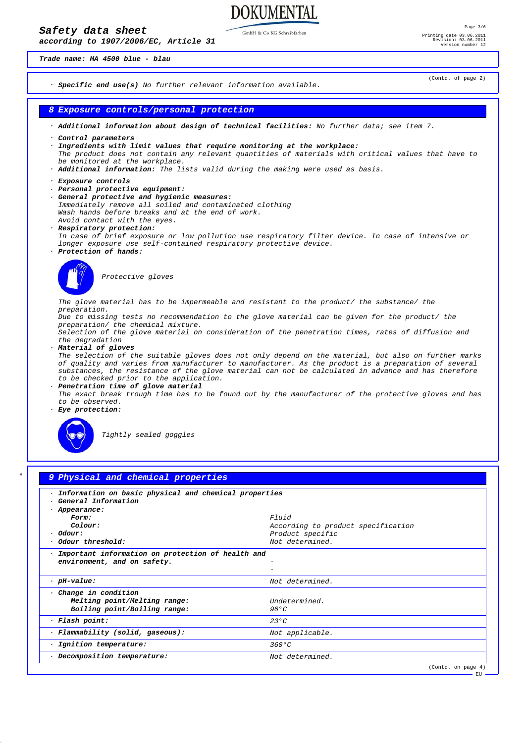**DOKUMENTAL** 

GmbH & Co KG Schreibfarben

*Trade name: MA 4500 blue - blau*

*according to 1907/2006/EC, Article 31*

(Contd. of page 2)



| Information on basic physical and chemical properties |                                    |
|-------------------------------------------------------|------------------------------------|
| · General Information                                 |                                    |
| · Appearance:                                         |                                    |
| Form:                                                 | $F1$ $ii d$                        |
| Colour:                                               | According to product specification |
| $·$ Odour:                                            | Product specific                   |
| Odour threshold:                                      | Not determined.                    |
|                                                       |                                    |
| $\cdot$ pH-value:                                     | Not determined.                    |
|                                                       |                                    |
| · Change in condition<br>Melting point/Melting range: | Undetermined.                      |
| Boiling point/Boiling range:                          | 96 ° C                             |
| · Flash point:                                        | $23^{\circ}$ C                     |
| · Flammability (solid, gaseous):                      | Not applicable.                    |
| · Ignition temperature:                               | $360^{\circ}C$                     |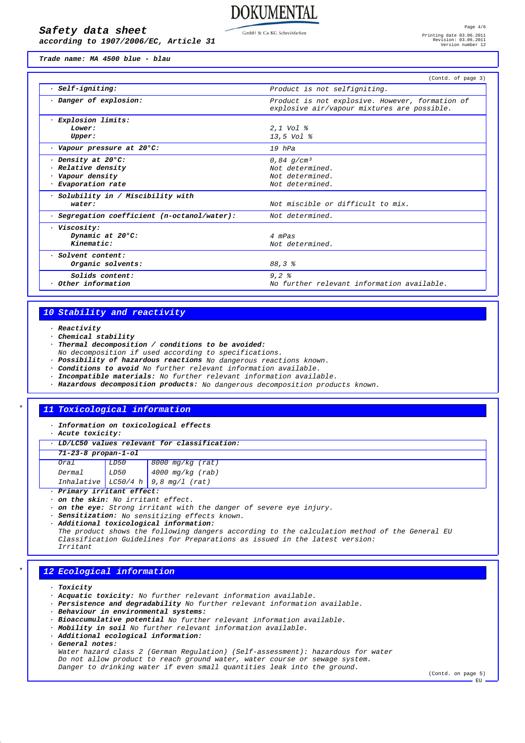GmbH & Co KG Schreibfarben

### *Safety data sheet*

*according to 1907/2006/EC, Article 31*

*Trade name: MA 4500 blue - blau*

|                                            | (Contd. of page 3)                                                                             |
|--------------------------------------------|------------------------------------------------------------------------------------------------|
| · Self-igniting:                           | Product is not selfigniting.                                                                   |
| Danger of explosion:                       | Product is not explosive. However, formation of<br>explosive air/vapour mixtures are possible. |
| <i>Explosion limits:</i>                   |                                                                                                |
| Lower:                                     | 2,1 Vol %                                                                                      |
| Upper:                                     | 13,5 Vol %                                                                                     |
| · Vapour pressure at 20°C:                 | 19 hPa                                                                                         |
| Density at 20°C:                           | 0,84 $q/cm^3$                                                                                  |
| Relative density                           | Not determined.                                                                                |
| · Vapour density                           | Not determined.                                                                                |
| · Evaporation rate                         | Not determined.                                                                                |
| · Solubility in / Miscibility with         |                                                                                                |
| water:                                     | Not miscible or difficult to mix.                                                              |
| Segregation coefficient (n-octanol/water): | Not determined.                                                                                |
| · Viscosity:                               |                                                                                                |
| Dynamic at 20°C:                           | 4 mPas                                                                                         |
| Kinematic:                                 | Not determined.                                                                                |
| · Solvent content:                         |                                                                                                |
| Organic solvents:                          | 88,3%                                                                                          |
| Solids content:                            | $9,2$ $%$                                                                                      |
| $\cdot$ Other information                  | No further relevant information available.                                                     |

### *10 Stability and reactivity*

- *· Reactivity*
- *· Chemical stability*
- *· Thermal decomposition / conditions to be avoided:*
- *No decomposition if used according to specifications.*
- *· Possibility of hazardous reactions No dangerous reactions known.*
- *· Conditions to avoid No further relevant information available.*
- *· Incompatible materials: No further relevant information available.*
- *· Hazardous decomposition products: No dangerous decomposition products known.*

### *\* 11 Toxicological information*

*· Information on toxicological effects*

- *· Acute toxicity:*
- *· LD/LC50 values relevant for classification:*

| 71-23-8 propan-1-ol |  |                                                                                                                                                                                                                                                                          |
|---------------------|--|--------------------------------------------------------------------------------------------------------------------------------------------------------------------------------------------------------------------------------------------------------------------------|
|                     |  |                                                                                                                                                                                                                                                                          |
|                     |  | $\begin{tabular}{ l l l l } \hline\hline\hline\texttt{Oral} & \texttt{LD50} & \texttt{8000 mg/kg (rat)}\\ \hline \texttt{Dermal} & \texttt{LD50} & \texttt{4000 mg/kg (rab)}\\ \texttt{Inhalative} & \texttt{LC50/4 h} & \texttt{9,8 mg/l (rat)}\\ \hline \end{tabular}$ |
|                     |  |                                                                                                                                                                                                                                                                          |

*· Primary irritant effect:*

- *· on the skin: No irritant effect.*
- *· on the eye: Strong irritant with the danger of severe eye injury.*
- *· Sensitization: No sensitizing effects known.*

*· Additional toxicological information:*

*The product shows the following dangers according to the calculation method of the General EU Classification Guidelines for Preparations as issued in the latest version: Irritant*

### *\* 12 Ecological information*

- *· Toxicity*
- *· Acquatic toxicity: No further relevant information available.*
- *· Persistence and degradability No further relevant information available.*
- *· Behaviour in environmental systems:*
- *· Bioaccumulative potential No further relevant information available.*
- *· Mobility in soil No further relevant information available.*
- *· Additional ecological information:*
- *· General notes:*

*Water hazard class 2 (German Regulation) (Self-assessment): hazardous for water Do not allow product to reach ground water, water course or sewage system. Danger to drinking water if even small quantities leak into the ground.*

(Contd. on page 5) . RU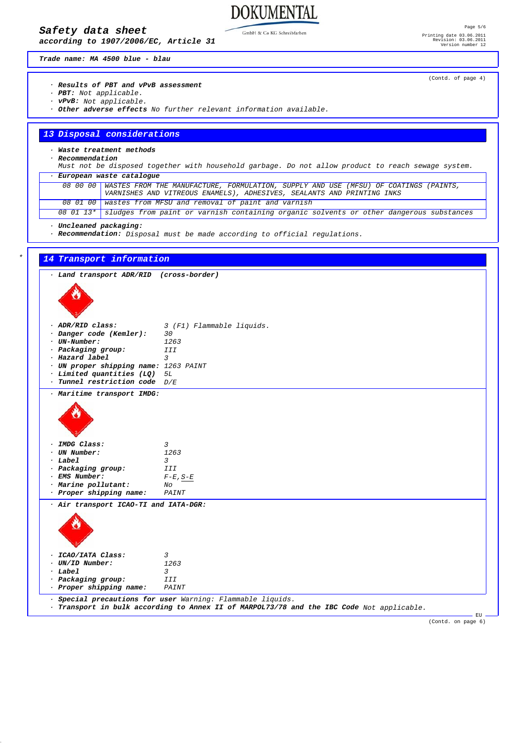### *Safety data sheet*

*according to 1907/2006/EC, Article 31*

GmbH & Co KG Schreibfarben

**DOKUMENTAL** 

*Trade name: MA 4500 blue - blau*

### *· Results of PBT and vPvB assessment*

- *· PBT: Not applicable.*
- *· vPvB: Not applicable.*
- *· Other adverse effects No further relevant information available.*

### *13 Disposal considerations*

## *· Waste treatment methods*

*· Recommendation*

*Must not be disposed together with household garbage. Do not allow product to reach sewage system.*

| European waste catalogue |                                                                                                   |  |
|--------------------------|---------------------------------------------------------------------------------------------------|--|
|                          | 08 00 00 WASTES FROM THE MANUFACTURE, FORMULATION, SUPPLY AND USE (MFSU) OF COATINGS (PAINTS,     |  |
|                          | VARNISHES AND VITREOUS ENAMELS), ADHESIVES, SEALANTS AND PRINTING INKS                            |  |
|                          | 08 01 00 wastes from MFSU and removal of paint and varnish                                        |  |
|                          | 08 01 13* Sludges from paint or varnish containing organic solvents or other dangerous substances |  |

*· Uncleaned packaging:*

*· Recommendation: Disposal must be made according to official regulations.*

| · Land transport ADR/RID (cross-border)   |                           |
|-------------------------------------------|---------------------------|
|                                           |                           |
|                                           |                           |
|                                           |                           |
|                                           |                           |
| · ADR/RID class:                          | 3 (F1) Flammable liquids. |
| · Danger code (Kemler):<br>$·$ UN-Number: | 30<br>1263                |
| · Packaging group:                        | <b>III</b>                |
| · Hazard label                            | 3                         |
| · UN proper shipping name: 1263 PAINT     |                           |
| $\cdot$ Limited quantities (LQ) $5L$      |                           |
| $\cdot$ Tunnel restriction code $D/E$     |                           |
| · Maritime transport IMDG:                |                           |
|                                           |                           |
|                                           |                           |
|                                           |                           |
|                                           |                           |
|                                           |                           |
| · IMDG Class:                             | $\overline{3}$            |
| · UN Number:                              | 1263                      |
| $·$ Label                                 | 3                         |
| · Packaging group:<br>· EMS Number:       | III                       |
| · Marine pollutant:                       | $F-E$ , $S-E$<br>No       |
| · Proper shipping name:                   | PAINT                     |
|                                           |                           |
| · Air transport ICAO-TI and IATA-DGR:     |                           |
|                                           |                           |
|                                           |                           |
|                                           |                           |
|                                           |                           |
| · ICAO/IATA Class:                        | $\overline{3}$            |
| · UN/ID Number:                           | 1263                      |
| $·$ Label                                 | $\overline{3}$            |
| · Packaging group:                        | III                       |
|                                           | PAINT                     |
| · Proper shipping name:                   |                           |

(Contd. of page 4)